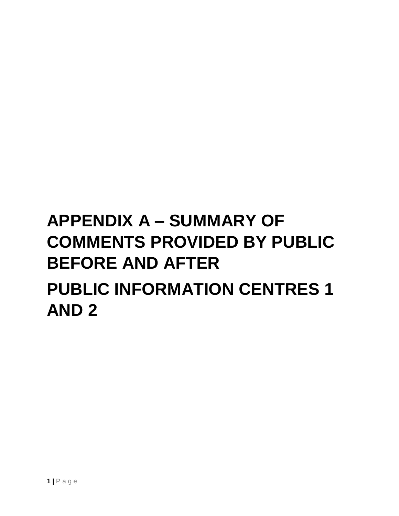# **APPENDIX A – SUMMARY OF COMMENTS PROVIDED BY PUBLIC BEFORE AND AFTER PUBLIC INFORMATION CENTRES 1 AND 2**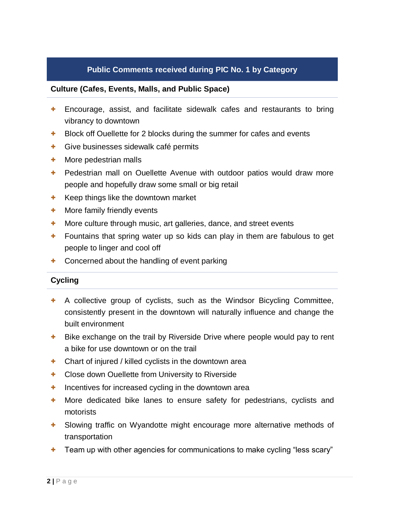## **Culture (Cafes, Events, Malls, and Public Space)**

- + Encourage, assist, and facilitate sidewalk cafes and restaurants to bring vibrancy to downtown
- + Block off Ouellette for 2 blocks during the summer for cafes and events
- + Give businesses sidewalk café permits
- + More pedestrian malls
- + Pedestrian mall on Ouellette Avenue with outdoor patios would draw more people and hopefully draw some small or big retail
- + Keep things like the downtown market
- + More family friendly events
- + More culture through music, art galleries, dance, and street events
- + Fountains that spring water up so kids can play in them are fabulous to get people to linger and cool off
- Concerned about the handling of event parking

## **Cycling**

- + A collective group of cyclists, such as the Windsor Bicycling Committee, consistently present in the downtown will naturally influence and change the built environment
- + Bike exchange on the trail by Riverside Drive where people would pay to rent a bike for use downtown or on the trail
- + Chart of injured / killed cyclists in the downtown area
- + Close down Ouellette from University to Riverside
- + Incentives for increased cycling in the downtown area
- + More dedicated bike lanes to ensure safety for pedestrians, cyclists and motorists
- + Slowing traffic on Wyandotte might encourage more alternative methods of transportation
- + Team up with other agencies for communications to make cycling "less scary"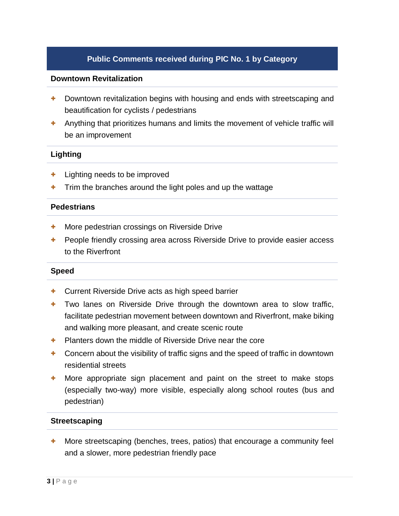## **Downtown Revitalization**

- + Downtown revitalization begins with housing and ends with streetscaping and beautification for cyclists / pedestrians
- + Anything that prioritizes humans and limits the movement of vehicle traffic will be an improvement

## **Lighting**

- + Lighting needs to be improved
- Trim the branches around the light poles and up the wattage

## **Pedestrians**

- + More pedestrian crossings on Riverside Drive
- + People friendly crossing area across Riverside Drive to provide easier access to the Riverfront

## **Speed**

- + Current Riverside Drive acts as high speed barrier
- + Two lanes on Riverside Drive through the downtown area to slow traffic, facilitate pedestrian movement between downtown and Riverfront, make biking and walking more pleasant, and create scenic route
- + Planters down the middle of Riverside Drive near the core
- + Concern about the visibility of traffic signs and the speed of traffic in downtown residential streets
- + More appropriate sign placement and paint on the street to make stops (especially two-way) more visible, especially along school routes (bus and pedestrian)

## **Streetscaping**

+ More streetscaping (benches, trees, patios) that encourage a community feel and a slower, more pedestrian friendly pace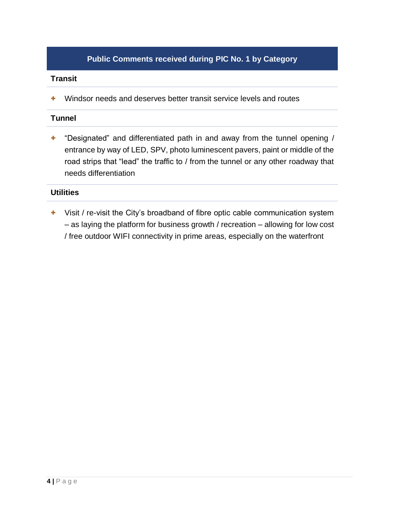## **Transit**

+ Windsor needs and deserves better transit service levels and routes

## **Tunnel**

+ "Designated" and differentiated path in and away from the tunnel opening / entrance by way of LED, SPV, photo luminescent pavers, paint or middle of the road strips that "lead" the traffic to / from the tunnel or any other roadway that needs differentiation

## **Utilities**

+ Visit / re-visit the City's broadband of fibre optic cable communication system – as laying the platform for business growth / recreation – allowing for low cost / free outdoor WIFI connectivity in prime areas, especially on the waterfront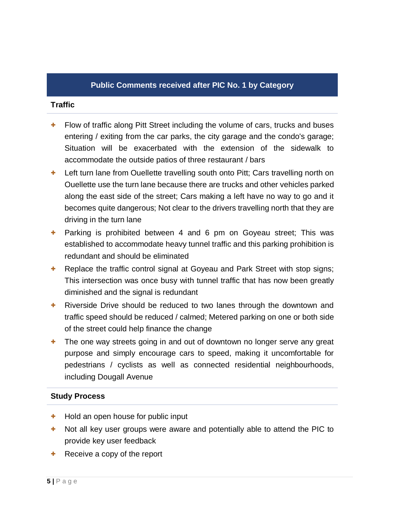## **Traffic**

- + Flow of traffic along Pitt Street including the volume of cars, trucks and buses entering / exiting from the car parks, the city garage and the condo's garage; Situation will be exacerbated with the extension of the sidewalk to accommodate the outside patios of three restaurant / bars
- + Left turn lane from Ouellette travelling south onto Pitt; Cars travelling north on Ouellette use the turn lane because there are trucks and other vehicles parked along the east side of the street; Cars making a left have no way to go and it becomes quite dangerous; Not clear to the drivers travelling north that they are driving in the turn lane
- + Parking is prohibited between 4 and 6 pm on Goyeau street; This was established to accommodate heavy tunnel traffic and this parking prohibition is redundant and should be eliminated
- + Replace the traffic control signal at Goyeau and Park Street with stop signs; This intersection was once busy with tunnel traffic that has now been greatly diminished and the signal is redundant
- + Riverside Drive should be reduced to two lanes through the downtown and traffic speed should be reduced / calmed; Metered parking on one or both side of the street could help finance the change
- + The one way streets going in and out of downtown no longer serve any great purpose and simply encourage cars to speed, making it uncomfortable for pedestrians / cyclists as well as connected residential neighbourhoods, including Dougall Avenue

## **Study Process**

- + Hold an open house for public input
- Not all key user groups were aware and potentially able to attend the PIC to provide key user feedback
- Receive a copy of the report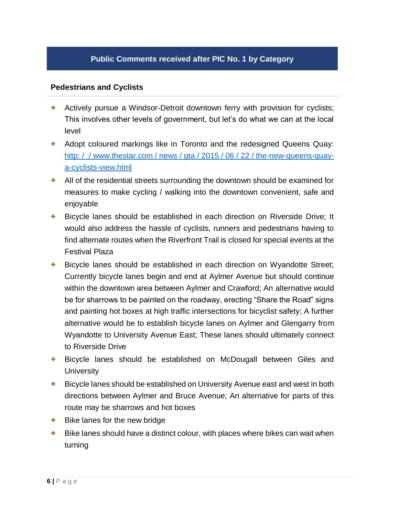## **Pedestrians and Cyclists**

- + Actively pursue a Windsor-Detroit downtown ferry with provision for cyclists; This involves other levels of government, but let's do what we can at the local level
- + Adopt coloured markings like in Toronto and the redesigned Queens Quay: http: / / www.thestar.com / news / gta / 2015 / 06 / 22 [/ the-new-queens-quay](http://www.thestar.com/news/gta/2015/06/22/the-new-queens-quay-a-cyclists-view.html)[a-cyclists-view.html](http://www.thestar.com/news/gta/2015/06/22/the-new-queens-quay-a-cyclists-view.html)
- + All of the residential streets surrounding the downtown should be examined for measures to make cycling / walking into the downtown convenient, safe and enjoyable
- + Bicycle lanes should be established in each direction on Riverside Drive; It would also address the hassle of cyclists, runners and pedestrians having to find alternate routes when the Riverfront Trail is closed for special events at the Festival Plaza
- + Bicycle lanes should be established in each direction on Wyandotte Street; Currently bicycle lanes begin and end at Aylmer Avenue but should continue within the downtown area between Aylmer and Crawford; An alternative would be for sharrows to be painted on the roadway, erecting "Share the Road" signs and painting hot boxes at high traffic intersections for bicyclist safety; A further alternative would be to establish bicycle lanes on Aylmer and Glengarry from Wyandotte to University Avenue East; These lanes should ultimately connect to Riverside Drive
- Bicycle lanes should be established on McDougall between Giles and **University**
- + Bicycle lanes should be established on University Avenue east and west in both directions between Aylmer and Bruce Avenue; An alternative for parts of this route may be sharrows and hot boxes
- + Bike lanes for the new bridge
- + Bike lanes should have a distinct colour, with places where bikes can wait when turning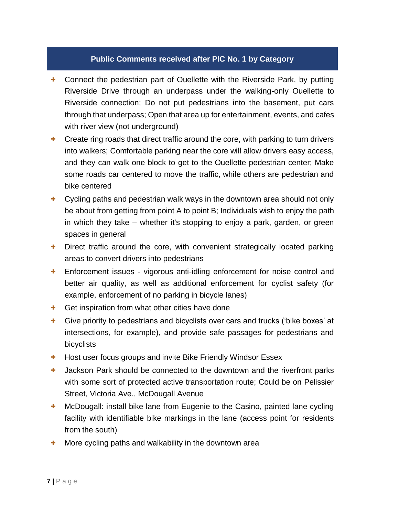- + Connect the pedestrian part of Ouellette with the Riverside Park, by putting Riverside Drive through an underpass under the walking-only Ouellette to Riverside connection; Do not put pedestrians into the basement, put cars through that underpass; Open that area up for entertainment, events, and cafes with river view (not underground)
- + Create ring roads that direct traffic around the core, with parking to turn drivers into walkers; Comfortable parking near the core will allow drivers easy access, and they can walk one block to get to the Ouellette pedestrian center; Make some roads car centered to move the traffic, while others are pedestrian and bike centered
- + Cycling paths and pedestrian walk ways in the downtown area should not only be about from getting from point A to point B; Individuals wish to enjoy the path in which they take – whether it's stopping to enjoy a park, garden, or green spaces in general
- + Direct traffic around the core, with convenient strategically located parking areas to convert drivers into pedestrians
- + Enforcement issues vigorous anti-idling enforcement for noise control and better air quality, as well as additional enforcement for cyclist safety (for example, enforcement of no parking in bicycle lanes)
- + Get inspiration from what other cities have done
- + Give priority to pedestrians and bicyclists over cars and trucks ('bike boxes' at intersections, for example), and provide safe passages for pedestrians and bicyclists
- + Host user focus groups and invite Bike Friendly Windsor Essex
- + Jackson Park should be connected to the downtown and the riverfront parks with some sort of protected active transportation route; Could be on Pelissier Street, Victoria Ave., McDougall Avenue
- + McDougall: install bike lane from Eugenie to the Casino, painted lane cycling facility with identifiable bike markings in the lane (access point for residents from the south)
- More cycling paths and walkability in the downtown area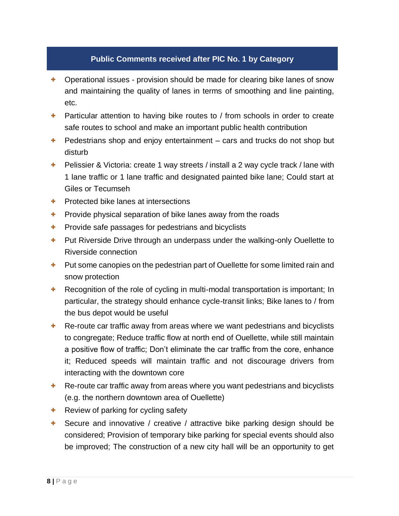- + Operational issues provision should be made for clearing bike lanes of snow and maintaining the quality of lanes in terms of smoothing and line painting, etc.
- + Particular attention to having bike routes to / from schools in order to create safe routes to school and make an important public health contribution
- + Pedestrians shop and enjoy entertainment cars and trucks do not shop but disturb
- + Pelissier & Victoria: create 1 way streets / install a 2 way cycle track / lane with 1 lane traffic or 1 lane traffic and designated painted bike lane; Could start at Giles or Tecumseh
- + Protected bike lanes at intersections
- + Provide physical separation of bike lanes away from the roads
- + Provide safe passages for pedestrians and bicyclists
- + Put Riverside Drive through an underpass under the walking-only Ouellette to Riverside connection
- + Put some canopies on the pedestrian part of Ouellette for some limited rain and snow protection
- + Recognition of the role of cycling in multi-modal transportation is important; In particular, the strategy should enhance cycle-transit links; Bike lanes to / from the bus depot would be useful
- + Re-route car traffic away from areas where we want pedestrians and bicyclists to congregate; Reduce traffic flow at north end of Ouellette, while still maintain a positive flow of traffic; Don't eliminate the car traffic from the core, enhance it; Reduced speeds will maintain traffic and not discourage drivers from interacting with the downtown core
- + Re-route car traffic away from areas where you want pedestrians and bicyclists (e.g. the northern downtown area of Ouellette)
- + Review of parking for cycling safety
- + Secure and innovative / creative / attractive bike parking design should be considered; Provision of temporary bike parking for special events should also be improved; The construction of a new city hall will be an opportunity to get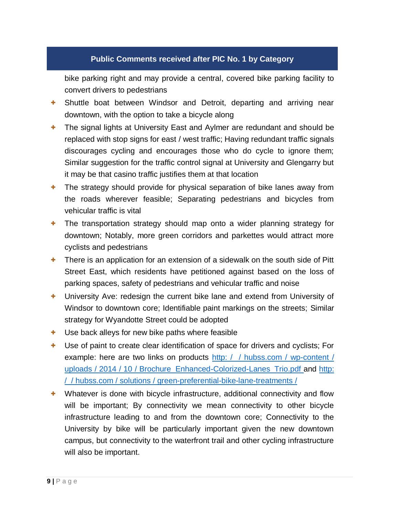bike parking right and may provide a central, covered bike parking facility to convert drivers to pedestrians

- + Shuttle boat between Windsor and Detroit, departing and arriving near downtown, with the option to take a bicycle along
- + The signal lights at University East and Aylmer are redundant and should be replaced with stop signs for east / west traffic; Having redundant traffic signals discourages cycling and encourages those who do cycle to ignore them; Similar suggestion for the traffic control signal at University and Glengarry but it may be that casino traffic justifies them at that location
- + The strategy should provide for physical separation of bike lanes away from the roads wherever feasible; Separating pedestrians and bicycles from vehicular traffic is vital
- + The transportation strategy should map onto a wider planning strategy for downtown; Notably, more green corridors and parkettes would attract more cyclists and pedestrians
- + There is an application for an extension of a sidewalk on the south side of Pitt Street East, which residents have petitioned against based on the loss of parking spaces, safety of pedestrians and vehicular traffic and noise
- + University Ave: redesign the current bike lane and extend from University of Windsor to downtown core; Identifiable paint markings on the streets; Similar strategy for Wyandotte Street could be adopted
- + Use back alleys for new bike paths where feasible
- + Use of paint to create clear identification of space for drivers and cyclists; For example: here are two links on products http: [/ / hubss.com](http://hubss.com/wp-content/uploads/2014/10/Brochure_Enhanced-Colorized-Lanes_Trio.pdf) / wp-content / uploads / 2014 / 10 / Brochure Enhanced-Colorized-Lanes Trio.pdf and [http:](http://hubss.com/solutions/green-preferential-bike-lane-treatments/) / / hubss.com / solutions [/ green-preferential-bike-lane-treatments](http://hubss.com/solutions/green-preferential-bike-lane-treatments/) /
- + Whatever is done with bicycle infrastructure, additional connectivity and flow will be important; By connectivity we mean connectivity to other bicycle infrastructure leading to and from the downtown core; Connectivity to the University by bike will be particularly important given the new downtown campus, but connectivity to the waterfront trail and other cycling infrastructure will also be important.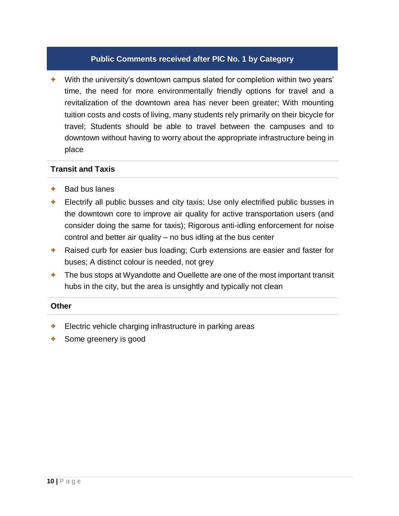+ With the university's downtown campus slated for completion within two years' time, the need for more environmentally friendly options for travel and a revitalization of the downtown area has never been greater; With mounting tuition costs and costs of living, many students rely primarily on their bicycle for travel; Students should be able to travel between the campuses and to downtown without having to worry about the appropriate infrastructure being in place

## **Transit and Taxis**

- + Bad bus lanes
- + Electrify all public busses and city taxis; Use only electrified public busses in the downtown core to improve air quality for active transportation users (and consider doing the same for taxis); Rigorous anti-idling enforcement for noise control and better air quality – no bus idling at the bus center
- + Raised curb for easier bus loading; Curb extensions are easier and faster for buses; A distinct colour is needed, not grey
- + The bus stops at Wyandotte and Ouellette are one of the most important transit hubs in the city, but the area is unsightly and typically not clean

## **Other**

- + Electric vehicle charging infrastructure in parking areas
- Some greenery is good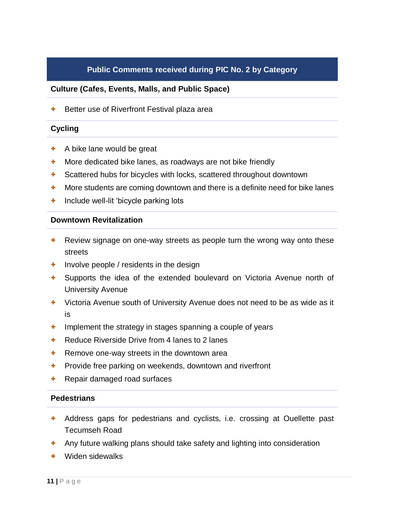# **Public Comments received during PIC No. 2 by Category**

## **Culture (Cafes, Events, Malls, and Public Space)**

+ Better use of Riverfront Festival plaza area

## **Cycling**

- + A bike lane would be great
- + More dedicated bike lanes, as roadways are not bike friendly
- + Scattered hubs for bicycles with locks, scattered throughout downtown
- + More students are coming downtown and there is a definite need for bike lanes
- + Include well-lit 'bicycle parking lots

## **Downtown Revitalization**

- + Review signage on one-way streets as people turn the wrong way onto these streets
- + Involve people / residents in the design
- + Supports the idea of the extended boulevard on Victoria Avenue north of University Avenue
- + Victoria Avenue south of University Avenue does not need to be as wide as it is
- + Implement the strategy in stages spanning a couple of years
- + Reduce Riverside Drive from 4 lanes to 2 lanes
- + Remove one-way streets in the downtown area
- + Provide free parking on weekends, downtown and riverfront
- + Repair damaged road surfaces

## **Pedestrians**

- + Address gaps for pedestrians and cyclists, i.e. crossing at Ouellette past Tecumseh Road
- + Any future walking plans should take safety and lighting into consideration
- + Widen sidewalks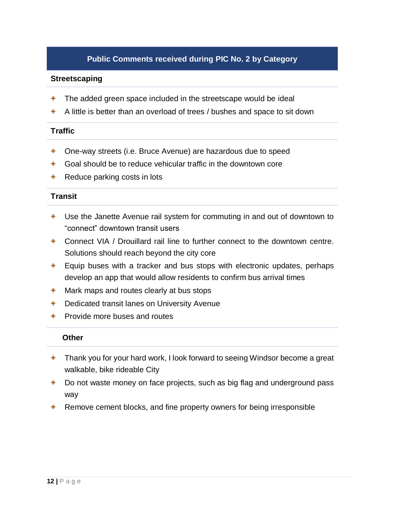# **Public Comments received during PIC No. 2 by Category**

## **Streetscaping**

- + The added green space included in the streetscape would be ideal
- A little is better than an overload of trees / bushes and space to sit down

## **Traffic**

- + One-way streets (i.e. Bruce Avenue) are hazardous due to speed
- + Goal should be to reduce vehicular traffic in the downtown core
- + Reduce parking costs in lots

## **Transit**

- + Use the Janette Avenue rail system for commuting in and out of downtown to "connect" downtown transit users
- + Connect VIA / Drouillard rail line to further connect to the downtown centre. Solutions should reach beyond the city core
- + Equip buses with a tracker and bus stops with electronic updates, perhaps develop an app that would allow residents to confirm bus arrival times
- + Mark maps and routes clearly at bus stops
- + Dedicated transit lanes on University Avenue
- + Provide more buses and routes

## **Other**

- + Thank you for your hard work, I look forward to seeing Windsor become a great walkable, bike rideable City
- + Do not waste money on face projects, such as big flag and underground pass way
- + Remove cement blocks, and fine property owners for being irresponsible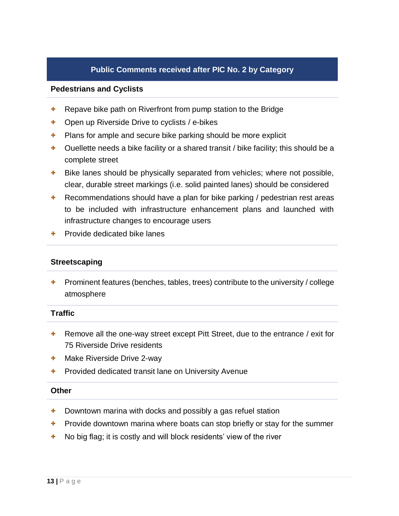## **Pedestrians and Cyclists**

- + Repave bike path on Riverfront from pump station to the Bridge
- + Open up Riverside Drive to cyclists / e-bikes
- + Plans for ample and secure bike parking should be more explicit
- $\pm$  Ouellette needs a bike facility or a shared transit / bike facility; this should be a complete street
- + Bike lanes should be physically separated from vehicles; where not possible, clear, durable street markings (i.e. solid painted lanes) should be considered
- + Recommendations should have a plan for bike parking / pedestrian rest areas to be included with infrastructure enhancement plans and launched with infrastructure changes to encourage users
- + Provide dedicated bike lanes

## **Streetscaping**

+ Prominent features (benches, tables, trees) contribute to the university / college atmosphere

## **Traffic**

- + Remove all the one-way street except Pitt Street, due to the entrance / exit for 75 Riverside Drive residents
- + Make Riverside Drive 2-way
- + Provided dedicated transit lane on University Avenue

## **Other**

- + Downtown marina with docks and possibly a gas refuel station
- + Provide downtown marina where boats can stop briefly or stay for the summer
- + No big flag; it is costly and will block residents' view of the river